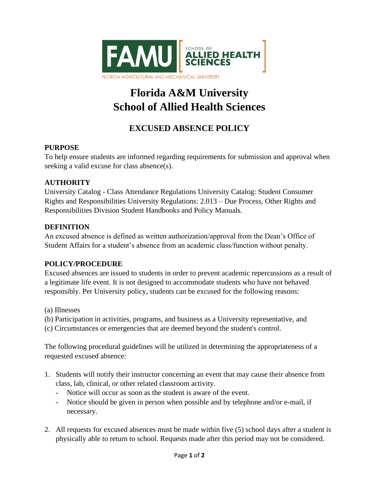

# **Florida A&M University School of Allied Health Sciences**

# **EXCUSED ABSENCE POLICY**

## **PURPOSE**

To help ensure students are informed regarding requirements for submission and approval when seeking a valid excuse for class absence(s).

#### **AUTHORITY**

University Catalog - Class Attendance Regulations University Catalog: Student Consumer Rights and Responsibilities University Regulations: 2.013 – Due Process, Other Rights and Responsibilities Division Student Handbooks and Policy Manuals.

#### **DEFINITION**

An excused absence is defined as written authorization/approval from the Dean's Office of Student Affairs for a student's absence from an academic class/function without penalty.

## **POLICY/PROCEDURE**

Excused absences are issued to students in order to prevent academic repercussions as a result of a legitimate life event. It is not designed to accommodate students who have not behaved responsibly. Per University policy, students can be excused for the following reasons:

(a) Illnesses

- (b) Participation in activities, programs, and business as a University representative, and
- (c) Circumstances or emergencies that are deemed beyond the student's control.

The following procedural guidelines will be utilized in determining the appropriateness of a requested excused absence:

- 1. Students will notify their instructor concerning an event that may cause their absence from class, lab, clinical, or other related classroom activity.
	- Notice will occur as soon as the student is aware of the event.
	- Notice should be given in person when possible and by telephone and/or e-mail, if necessary.
- 2. All requests for excused absences must be made within five (5) school days after a student is physically able to return to school. Requests made after this period may not be considered.